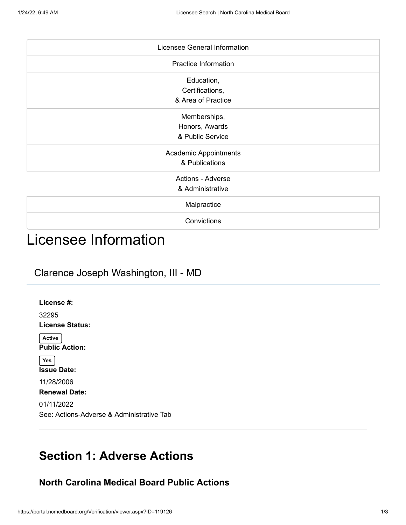| Licensee General Information |
|------------------------------|
| <b>Practice Information</b>  |
| Education,                   |
| Certifications,              |
| & Area of Practice           |
| Memberships,                 |
| Honors, Awards               |
| & Public Service             |
| Academic Appointments        |
| & Publications               |
| <b>Actions - Adverse</b>     |
| & Administrative             |
| Malpractice                  |
| Convictions                  |

# Licensee Information

Clarence Joseph Washington, III - MD

**License #:** 32295

**License Status:**

**Active**

**Public Action:**

**Yes Issue Date:**

11/28/2006 **Renewal Date:**

01/11/2022 See: Actions-Adverse & Administrative Tab

## **Section 1: Adverse Actions**

#### **North Carolina Medical Board Public Actions**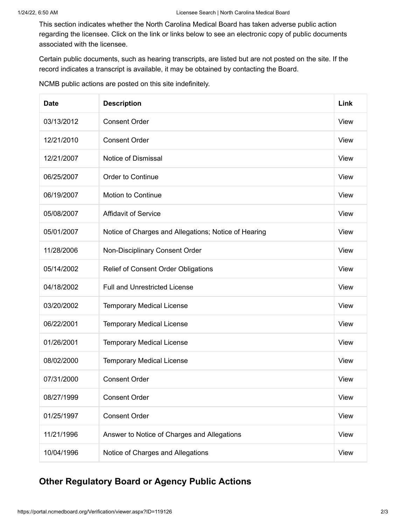This section indicates whether the North Carolina Medical Board has taken adverse public action regarding the licensee. Click on the link or links below to see an electronic copy of public documents associated with the licensee.

Certain public documents, such as hearing transcripts, are listed but are not posted on the site. If the record indicates a transcript is available, it may be obtained by contacting the Board.

NCMB public actions are posted on this site indefinitely.

| <b>Date</b> | <b>Description</b>                                   | Link |
|-------------|------------------------------------------------------|------|
| 03/13/2012  | <b>Consent Order</b>                                 | View |
| 12/21/2010  | <b>Consent Order</b>                                 | View |
| 12/21/2007  | Notice of Dismissal                                  | View |
| 06/25/2007  | <b>Order to Continue</b>                             | View |
| 06/19/2007  | <b>Motion to Continue</b>                            | View |
| 05/08/2007  | <b>Affidavit of Service</b>                          | View |
| 05/01/2007  | Notice of Charges and Allegations; Notice of Hearing | View |
| 11/28/2006  | Non-Disciplinary Consent Order                       | View |
| 05/14/2002  | <b>Relief of Consent Order Obligations</b>           | View |
| 04/18/2002  | <b>Full and Unrestricted License</b>                 | View |
| 03/20/2002  | <b>Temporary Medical License</b>                     | View |
| 06/22/2001  | <b>Temporary Medical License</b>                     | View |
| 01/26/2001  | <b>Temporary Medical License</b>                     | View |
| 08/02/2000  | <b>Temporary Medical License</b>                     | View |
| 07/31/2000  | <b>Consent Order</b>                                 | View |
| 08/27/1999  | <b>Consent Order</b>                                 | View |
| 01/25/1997  | <b>Consent Order</b>                                 | View |
| 11/21/1996  | Answer to Notice of Charges and Allegations          | View |
| 10/04/1996  | Notice of Charges and Allegations                    | View |

#### **Other Regulatory Board or Agency Public Actions**